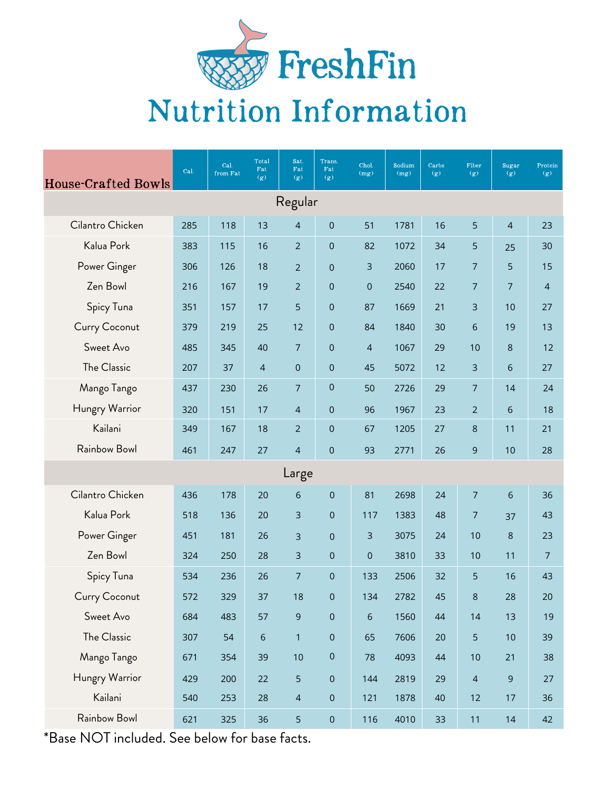

## Nutrition Information

| <b>House-Crafted Bowls</b> | Cal. | Cal.<br>from Fat | Total<br>Fat<br>(g) | Sat.<br>$_{\rm{Fat}}$<br>(g) | Trans.<br>$\operatorname{\mathbf{Fat}}$<br>(g) | Chol.<br>(mg)  | Sodium<br>(mg) | Carbs<br>(g) | Fiber<br>(g)   | <b>Sugar</b><br>(g) | Protein<br>(g) |
|----------------------------|------|------------------|---------------------|------------------------------|------------------------------------------------|----------------|----------------|--------------|----------------|---------------------|----------------|
| Regular                    |      |                  |                     |                              |                                                |                |                |              |                |                     |                |
| Cilantro Chicken           | 285  | 118              | 13                  | $\overline{4}$               | $\boldsymbol{0}$                               | 51             | 1781           | 16           | 5              | $\overline{4}$      | 23             |
| Kalua Pork                 | 383  | 115              | 16                  | $\overline{2}$               | $\boldsymbol{0}$                               | 82             | 1072           | 34           | 5              | 25                  | 30             |
| Power Ginger               | 306  | 126              | 18                  | $\overline{2}$               | $\boldsymbol{0}$                               | 3              | 2060           | 17           | $\overline{7}$ | 5                   | 15             |
| Zen Bowl                   | 216  | 167              | 19                  | $\overline{2}$               | $\boldsymbol{0}$                               | $\mathbf 0$    | 2540           | 22           | $\overline{7}$ | $\overline{7}$      | $\overline{4}$ |
| Spicy Tuna                 | 351  | 157              | 17                  | 5                            | $\boldsymbol{0}$                               | 87             | 1669           | 21           | 3              | 10                  | 27             |
| Curry Coconut              | 379  | 219              | 25                  | 12                           | $\mathbf 0$                                    | 84             | 1840           | 30           | $\sqrt{6}$     | 19                  | 13             |
| Sweet Avo                  | 485  | 345              | 40                  | $\overline{7}$               | $\boldsymbol{0}$                               | $\overline{4}$ | 1067           | 29           | 10             | $\,8\,$             | 12             |
| The Classic                | 207  | 37               | $\overline{4}$      | $\pmb{0}$                    | $\boldsymbol{0}$                               | 45             | 5072           | 12           | 3              | $\sqrt{6}$          | 27             |
| Mango Tango                | 437  | 230              | 26                  | $\overline{7}$               | $\boldsymbol{0}$                               | 50             | 2726           | 29           | $\overline{7}$ | 14                  | 24             |
| Hungry Warrior             | 320  | 151              | 17                  | $\overline{4}$               | $\mathbf 0$                                    | 96             | 1967           | 23           | $\overline{2}$ | $6\phantom{1}6$     | 18             |
| Kailani                    | 349  | 167              | 18                  | $\overline{2}$               | $\boldsymbol{0}$                               | 67             | 1205           | 27           | 8              | 11                  | 21             |
| Rainbow Bowl               | 461  | 247              | 27                  | $\overline{4}$               | $\mathbf 0$                                    | 93             | 2771           | 26           | 9              | 10                  | 28             |
| Large                      |      |                  |                     |                              |                                                |                |                |              |                |                     |                |
| Cilantro Chicken           | 436  | 178              | 20                  | 6                            | $\mathbf 0$                                    | 81             | 2698           | 24           | $\overline{7}$ | $\sqrt{6}$          | 36             |
| Kalua Pork                 | 518  | 136              | 20                  | $\overline{3}$               | $\boldsymbol{0}$                               | 117            | 1383           | 48           | $\overline{7}$ | 37                  | 43             |
| Power Ginger               | 451  | 181              | 26                  | 3                            | $\overline{0}$                                 | 3              | 3075           | 24           | 10             | 8                   | 23             |
| Zen Bowl                   | 324  | 250              | 28                  | 3                            | 0                                              | 0              | 3810           | 33           | 10             | 11                  | 7              |
| Spicy Tuna                 | 534  | 236              | 26                  | $\overline{7}$               | $\mathsf{O}\xspace$                            | 133            | 2506           | 32           | 5              | 16                  | 43             |
| Curry Coconut              | 572  | 329              | 37                  | 18                           | $\mathbf 0$                                    | 134            | 2782           | 45           | 8              | 28                  | 20             |
| Sweet Avo                  | 684  | 483              | 57                  | 9                            | $\mathsf{O}\xspace$                            | 6              | 1560           | $44\,$       | 14             | 13                  | 19             |
| The Classic                | 307  | 54               | $\sqrt{6}$          | $\mathbf{1}$                 | $\mathsf{O}\xspace$                            | 65             | 7606           | 20           | $\overline{5}$ | $10$                | 39             |
| Mango Tango                | 671  | 354              | 39                  | 10                           | $\pmb{0}$                                      | 78             | 4093           | 44           | $10$           | 21                  | 38             |
| Hungry Warrior             | 429  | 200              | 22                  | 5                            | $\mathbf 0$                                    | 144            | 2819           | 29           | $\overline{4}$ | $\overline{9}$      | 27             |
| Kailani                    | 540  | 253              | 28                  | $\overline{4}$               | $\mathsf{O}\xspace$                            | 121            | 1878           | 40           | 12             | 17                  | 36             |
| Rainbow Bowl               | 621  | 325              | 36                  | 5                            | $\mathsf{O}\xspace$                            | 116            | 4010           | 33           | 11             | 14                  | 42             |
|                            |      |                  |                     |                              |                                                |                |                |              |                |                     |                |

\*Base NOT included. See below for base facts.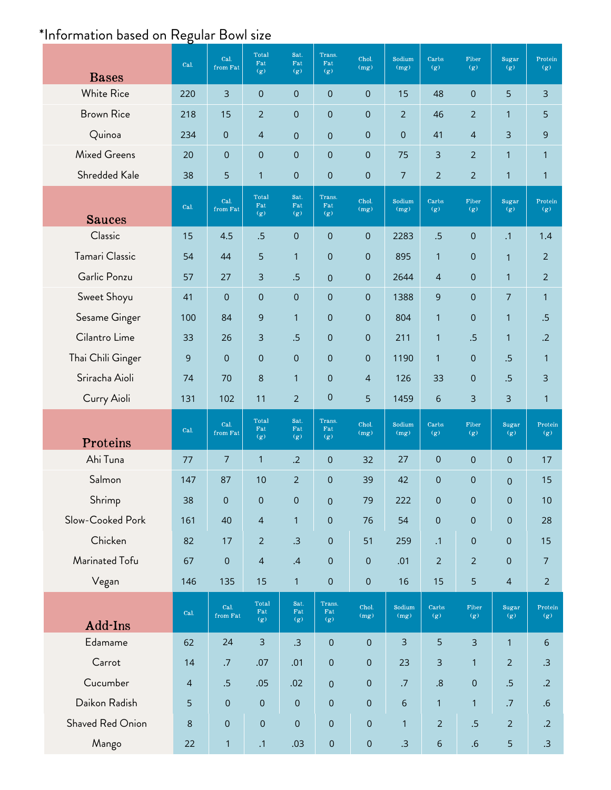## \*Information based on Regular Bowl size

| <b>Bases</b>                      | Cal.           | Cal.<br>from Fat    | Total<br>Fat<br>(g)           | Sat.<br>$_{\rm{Fat}}$<br>(g) | Trans.<br>Fat<br>(g)     | Chol.<br>(mg)            | Sodium<br>(mg)             | Carbs<br>(g)        | Fiber<br>(g)              | Sugar<br>(g)         | Protein<br>(g)   |
|-----------------------------------|----------------|---------------------|-------------------------------|------------------------------|--------------------------|--------------------------|----------------------------|---------------------|---------------------------|----------------------|------------------|
| <b>White Rice</b>                 | 220            | $\overline{3}$      | $\boldsymbol{0}$              | $\overline{0}$               | $\mathbf 0$              | 0                        | 15                         | 48                  | $\pmb{0}$                 | 5                    | 3                |
| <b>Brown Rice</b>                 | 218            | 15                  | $\overline{2}$                | $\boldsymbol{0}$             | $\mathbf 0$              | 0                        | $\overline{2}$             | 46                  | $\overline{2}$            | $\mathbf{1}$         | 5                |
| Quinoa                            | 234            | $\mathbf 0$         | $\overline{4}$                | $\pmb{0}$                    | $\overline{0}$           | 0                        | $\mathbf 0$                | 41                  | $\overline{4}$            | 3                    | 9                |
| <b>Mixed Greens</b>               | 20             | $\pmb{0}$           | $\boldsymbol{0}$              | $\pmb{0}$                    | $\mathbf 0$              | 0                        | 75                         | 3                   | $\overline{2}$            | $\mathbf{1}$         | $\mathbf{1}$     |
| Shredded Kale                     | 38             | 5                   | $\mathbf{1}$                  | $\mathbf 0$                  | $\mathbf 0$              | 0                        | 7                          | $\overline{2}$      | $\overline{2}$            | $\mathbf{1}$         | $\mathbf{1}$     |
| <b>Sauces</b>                     | Cal.           | Cal.<br>from Fat    | Total<br>Fat<br>(g)           | Sat.<br>Fat<br>(g)           | Trans.<br>Fat<br>(g)     | Chol.<br>(mg)            | Sodium<br>(mg)             | Carbs<br>(g)        | Fiber<br>(g)              | Sugar<br>(g)         | Protein<br>(g)   |
| Classic                           | 15             | 4.5                 | .5                            | $\overline{0}$               | $\mathbf 0$              | 0                        | 2283                       | .5                  | $\overline{0}$            | $\cdot$ 1            | 1.4              |
| Tamari Classic                    | 54             | 44                  | 5                             | $\mathbf{1}$                 | $\mathbf 0$              | 0                        | 895                        | $\mathbf{1}$        | 0                         | $\mathbf{1}$         | $\overline{2}$   |
| Garlic Ponzu                      | 57             | 27                  | $\overline{3}$                | .5                           | $\overline{0}$           | 0                        | 2644                       | $\overline{4}$      | $\mathbf 0$               | $\mathbf{1}$         | $\overline{2}$   |
| Sweet Shoyu                       | 41             | $\mathbf 0$         | $\pmb{0}$                     | $\mathbf 0$                  | $\mathbf 0$              | $\mathbf 0$              | 1388                       | 9                   | $\pmb{0}$                 | $\overline{7}$       | $\mathbf{1}$     |
| Sesame Ginger                     | 100            | 84                  | 9                             | $\mathbf{1}$                 | $\mathbf 0$              | 0                        | 804                        | $\mathbf{1}$        | $\pmb{0}$                 | $\mathbf{1}$         | .5               |
| Cilantro Lime                     | 33             | 26                  | $\overline{3}$                | .5                           | $\overline{0}$           | 0                        | 211                        | $\mathbf{1}$        | .5                        | $\mathbf{1}$         | $\cdot$ .2       |
| Thai Chili Ginger                 | 9              | $\pmb{0}$           | $\mathbf 0$                   | $\pmb{0}$                    | $\mathbf 0$              | 0                        | 1190                       | $\mathbf{1}$        | $\pmb{0}$                 | .5                   | $\mathbf{1}$     |
| Sriracha Aioli                    | 74             | 70                  | 8                             | $\mathbf{1}$                 | $\mathbf 0$              | $\overline{4}$           | 126                        | 33                  | $\mathbf 0$               | .5                   | 3                |
| Curry Aioli                       | 131            | 102                 | 11                            | $\overline{2}$               | $\mathbf 0$              | 5                        | 1459                       | 6                   | 3                         | 3                    | $\mathbf{1}$     |
| Proteins                          | Cal.           | Cal.<br>from Fat    | Total<br>Fat<br>(g)           | Sat.<br>Fat<br>(g)           | Trans.<br>Fat<br>(g)     | Chol.<br>(mg)            | Sodium<br>(mg)             | Carbs<br>(g)        | Fiber<br>(g)              | Sugar<br>(g)         | Protein<br>(g)   |
| Ahi Tuna                          | 77             | $\overline{7}$      | $\mathbf{1}$                  | .2                           | $\mathbf 0$              | 32                       | 27                         | $\overline{0}$      | $\pmb{0}$                 | $\mathsf{O}\xspace$  | 17               |
| Salmon                            | 147            | 87                  | 10                            | $\overline{2}$               | $\mathbf 0$              | 39                       | 42                         | $\overline{0}$      | $\mathbf 0$               | $\pmb{0}$            | 15               |
| Shrimp                            | 38             | $\mathbf 0$         | $\boldsymbol{0}$              | $\pmb{0}$                    | $\overline{0}$           | 79                       | 222                        | $\pmb{0}$           | $\mathsf{O}\xspace$       | $\mathbf 0$          | 10               |
| Slow-Cooked Pork                  | 161            | 40                  | $\overline{4}$                |                              |                          |                          |                            |                     |                           |                      |                  |
| Chicken                           |                |                     |                               | $\mathbf{1}$                 | $\mathbf 0$              | 76                       | 54                         | $\mathsf{O}\xspace$ | $\mathbf 0$               | $\mathsf{O}\xspace$  | 28               |
|                                   | 82             | 17                  | $\overline{2}$                | .3                           | $\pmb{0}$                | 51                       | 259                        | $\cdot$ 1           | 0                         | $\pmb{0}$            | 15               |
| Marinated Tofu                    | 67             | $\mathbf 0$         | $\overline{4}$                | .4                           | $\pmb{0}$                | $\pmb{0}$                | .01                        | $\overline{2}$      | $\overline{2}$            | $\pmb{0}$            | 7                |
| Vegan                             | 146            | 135                 | 15                            | $\mathbf{1}$                 | $\mathbf 0$              | $\pmb{0}$                | 16                         | 15                  | 5                         | $\overline{4}$       | $\overline{2}$   |
|                                   | Cal.           | Cal.<br>from Fat    | Total<br>$_{\rm{Fat}}$<br>(g) | Sat.<br>$_{\rm{Fat}}$<br>(g) | Trans.<br>Fat<br>(g)     | Chol.<br>(mg)            | Sodium<br>(mg)             | Carbs<br>(g)        | Fiber<br>(g)              | Sugar<br>(g)         | Protein<br>(g)   |
| Add-Ins<br>Edamame                | 62             | 24                  | $\overline{3}$                | .3                           | $\mathbf 0$              | $\pmb{0}$                | 3                          | 5                   | $\overline{3}$            | $\mathbf{1}$         | 6                |
| Carrot                            | 14             | .7                  | .07                           | .01                          | $\mathbf 0$              | $\mathsf{O}\xspace$      | 23                         | $\overline{3}$      | $\mathbf{1}$              | $\sqrt{2}$           | .3               |
| Cucumber                          | $\overline{4}$ |                     |                               |                              |                          |                          |                            | .8                  |                           |                      | .2               |
|                                   | 5              | .5<br>$\pmb{0}$     | .05<br>$\pmb{0}$              | .02<br>$\mathbf 0$           | $\mathbf 0$<br>$\pmb{0}$ | $\mathbf 0$<br>$\pmb{0}$ | $.7\,$                     | $\mathbf{1}$        | $\pmb{0}$<br>$\mathbf{1}$ | .5                   |                  |
| Daikon Radish<br>Shaved Red Onion | $\,8\,$        | $\mathsf{O}\xspace$ | $\mathbf 0$                   | $\mathbf 0$                  | $\mathbf 0$              | $\mathsf{O}\xspace$      | $\sqrt{6}$<br>$\mathbf{1}$ | $\overline{2}$      | $.5\,$                    | .7<br>$\overline{2}$ | .6<br>$\cdot$ .2 |